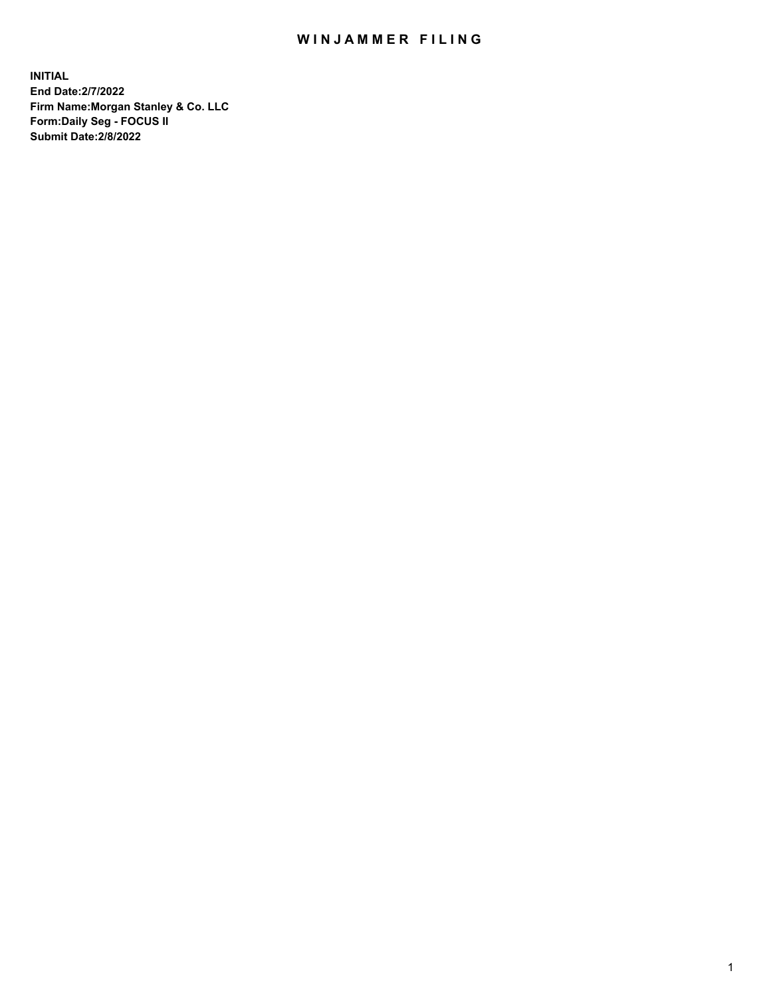## WIN JAMMER FILING

**INITIAL End Date:2/7/2022 Firm Name:Morgan Stanley & Co. LLC Form:Daily Seg - FOCUS II Submit Date:2/8/2022**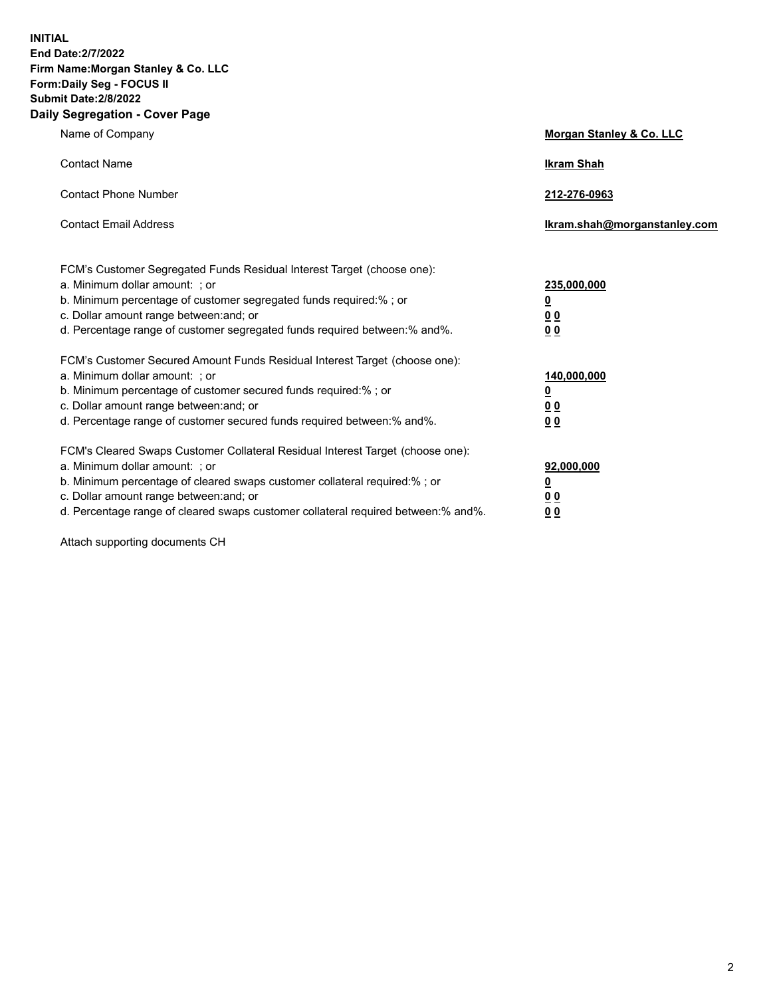**INITIAL End Date:2/7/2022 Firm Name:Morgan Stanley & Co. LLC Form:Daily Seg - FOCUS II Submit Date:2/8/2022 Daily Segregation - Cover Page**

| Name of Company                                                                                                                                                                                                                                                                                                               | Morgan Stanley & Co. LLC                                                     |
|-------------------------------------------------------------------------------------------------------------------------------------------------------------------------------------------------------------------------------------------------------------------------------------------------------------------------------|------------------------------------------------------------------------------|
| <b>Contact Name</b>                                                                                                                                                                                                                                                                                                           | <b>Ikram Shah</b>                                                            |
| <b>Contact Phone Number</b>                                                                                                                                                                                                                                                                                                   | 212-276-0963                                                                 |
| <b>Contact Email Address</b>                                                                                                                                                                                                                                                                                                  | Ikram.shah@morganstanley.com                                                 |
| FCM's Customer Segregated Funds Residual Interest Target (choose one):<br>a. Minimum dollar amount: ; or<br>b. Minimum percentage of customer segregated funds required:% ; or<br>c. Dollar amount range between: and; or<br>d. Percentage range of customer segregated funds required between: % and %.                      | 235,000,000<br><u>0</u><br><u>00</u><br>0 Q                                  |
| FCM's Customer Secured Amount Funds Residual Interest Target (choose one):<br>a. Minimum dollar amount: ; or<br>b. Minimum percentage of customer secured funds required:%; or<br>c. Dollar amount range between: and; or<br>d. Percentage range of customer secured funds required between:% and%.                           | 140,000,000<br><u>0</u><br>$\underline{0}$ $\underline{0}$<br>0 <sup>0</sup> |
| FCM's Cleared Swaps Customer Collateral Residual Interest Target (choose one):<br>a. Minimum dollar amount: ; or<br>b. Minimum percentage of cleared swaps customer collateral required:%; or<br>c. Dollar amount range between: and; or<br>d. Percentage range of cleared swaps customer collateral required between:% and%. | 92,000,000<br><u>0</u><br><u>00</u><br>00                                    |

Attach supporting documents CH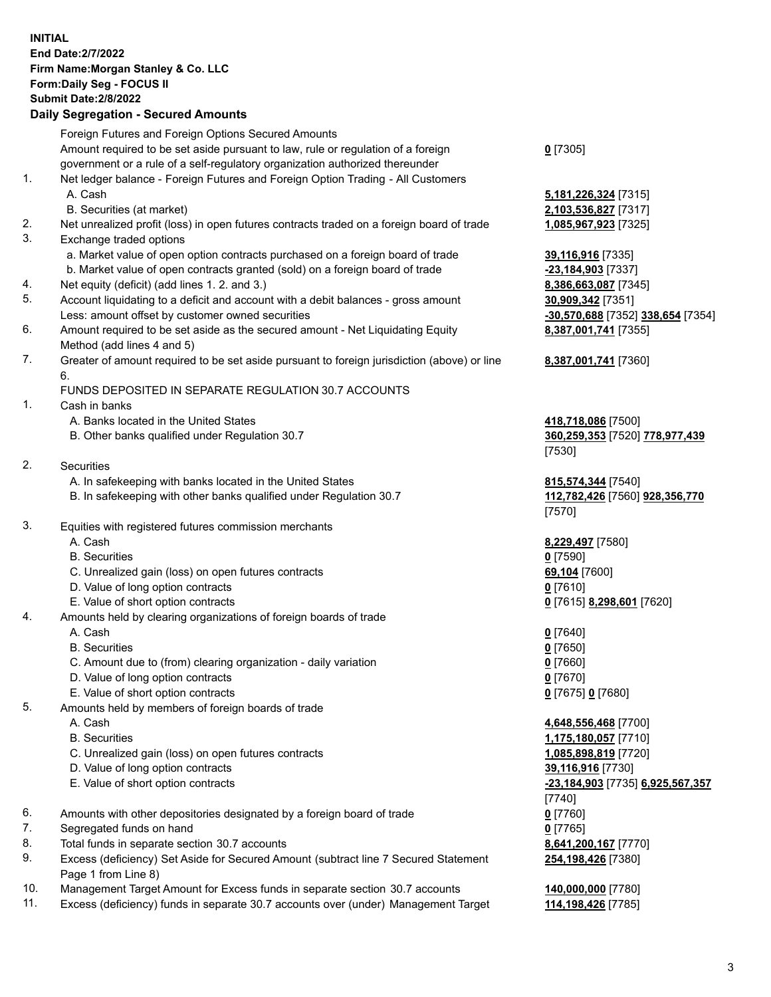## **INITIAL End Date:2/7/2022 Firm Name:Morgan Stanley & Co. LLC Form:Daily Seg - FOCUS II Submit Date:2/8/2022 Daily Segregation - Secured Amounts** Foreign Futures and Foreign Options Secured Amounts Amount required to be set aside pursuant to law, rule or regulation of a foreign government or a rule of a self-regulatory organization authorized thereunder 1. Net ledger balance - Foreign Futures and Foreign Option Trading - All Customers A. Cash **5,181,226,324** [7315] B. Securities (at market) **2,103,536,827** [7317] 2. Net unrealized profit (loss) in open futures contracts traded on a foreign board of trade **1,085,967,923** [7325]

- 3. Exchange traded options
	- a. Market value of open option contracts purchased on a foreign board of trade **39,116,916** [7335]
	- b. Market value of open contracts granted (sold) on a foreign board of trade **-23,184,903** [7337]
- 4. Net equity (deficit) (add lines 1. 2. and 3.) **8,386,663,087** [7345]
- 5. Account liquidating to a deficit and account with a debit balances gross amount **30,909,342** [7351] Less: amount offset by customer owned securities **-30,570,688** [7352] **338,654** [7354]
- 6. Amount required to be set aside as the secured amount Net Liquidating Equity Method (add lines 4 and 5)
- 7. Greater of amount required to be set aside pursuant to foreign jurisdiction (above) or line 6.

## FUNDS DEPOSITED IN SEPARATE REGULATION 30.7 ACCOUNTS

- 1. Cash in banks
	- A. Banks located in the United States **418,718,086** [7500]
	- B. Other banks qualified under Regulation 30.7 **360,259,353** [7520] **778,977,439**
- 2. Securities
	- A. In safekeeping with banks located in the United States **815,574,344** [7540]
	- B. In safekeeping with other banks qualified under Regulation 30.7 **112,782,426** [7560] **928,356,770**
- 3. Equities with registered futures commission merchants
	-
	- B. Securities **0** [7590]
	- C. Unrealized gain (loss) on open futures contracts **69,104** [7600]
	- D. Value of long option contracts **0** [7610]
- E. Value of short option contracts **0** [7615] **8,298,601** [7620]
- 4. Amounts held by clearing organizations of foreign boards of trade
	-
	- B. Securities **0** [7650]
	- C. Amount due to (from) clearing organization daily variation **0** [7660]
	- D. Value of long option contracts **0** [7670]
	- E. Value of short option contracts **0** [7675] **0** [7680]
- 5. Amounts held by members of foreign boards of trade
	-
	-
	- C. Unrealized gain (loss) on open futures contracts **1,085,898,819** [7720]
	- D. Value of long option contracts **39,116,916** [7730]
	- E. Value of short option contracts **-23,184,903** [7735] **6,925,567,357**
- 6. Amounts with other depositories designated by a foreign board of trade **0** [7760]
- 7. Segregated funds on hand **0** [7765]
- 8. Total funds in separate section 30.7 accounts **8,641,200,167** [7770]
- 9. Excess (deficiency) Set Aside for Secured Amount (subtract line 7 Secured Statement Page 1 from Line 8)
- 10. Management Target Amount for Excess funds in separate section 30.7 accounts **140,000,000** [7780]
- 11. Excess (deficiency) funds in separate 30.7 accounts over (under) Management Target **114,198,426** [7785]

**0** [7305]

**8,387,001,741** [7355]

## **8,387,001,741** [7360]

[7530]

[7570]

A. Cash **8,229,497** [7580]

A. Cash **0** [7640]

 A. Cash **4,648,556,468** [7700] B. Securities **1,175,180,057** [7710] [7740] **254,198,426** [7380]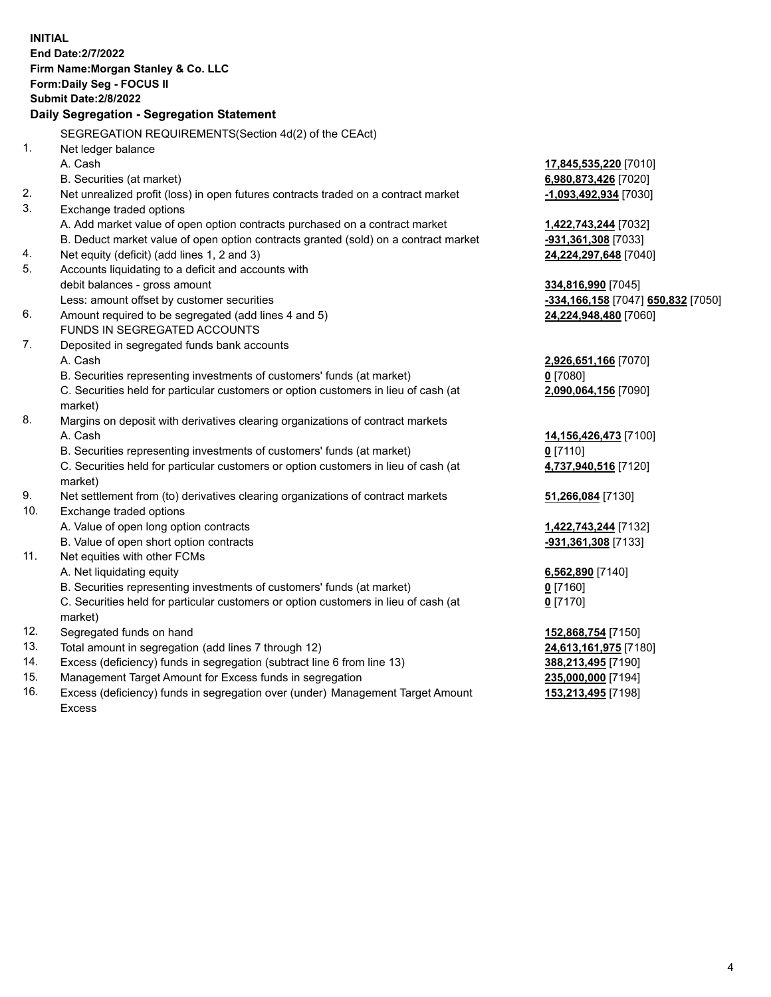| <b>INITIAL</b> |                                                                                     |                                    |
|----------------|-------------------------------------------------------------------------------------|------------------------------------|
|                | <b>End Date: 2/7/2022</b>                                                           |                                    |
|                | Firm Name: Morgan Stanley & Co. LLC                                                 |                                    |
|                | Form: Daily Seg - FOCUS II                                                          |                                    |
|                | <b>Submit Date: 2/8/2022</b>                                                        |                                    |
|                | Daily Segregation - Segregation Statement                                           |                                    |
|                | SEGREGATION REQUIREMENTS(Section 4d(2) of the CEAct)                                |                                    |
| 1.             | Net ledger balance                                                                  |                                    |
|                | A. Cash                                                                             | 17,845,535,220 [7010]              |
|                | B. Securities (at market)                                                           | 6,980,873,426 [7020]               |
| 2.             | Net unrealized profit (loss) in open futures contracts traded on a contract market  | -1,093,492,934 [7030]              |
| 3.             | Exchange traded options                                                             |                                    |
|                | A. Add market value of open option contracts purchased on a contract market         | 1,422,743,244 [7032]               |
|                | B. Deduct market value of open option contracts granted (sold) on a contract market | -931,361,308 [7033]                |
| 4.             | Net equity (deficit) (add lines 1, 2 and 3)                                         | 24,224,297,648 [7040]              |
| 5.             | Accounts liquidating to a deficit and accounts with                                 |                                    |
|                | debit balances - gross amount                                                       | 334,816,990 [7045]                 |
|                | Less: amount offset by customer securities                                          | -334,166,158 [7047] 650,832 [7050] |
| 6.             | Amount required to be segregated (add lines 4 and 5)                                | 24,224,948,480 [7060]              |
|                | FUNDS IN SEGREGATED ACCOUNTS                                                        |                                    |
| 7.             | Deposited in segregated funds bank accounts                                         |                                    |
|                | A. Cash                                                                             | 2,926,651,166 [7070]               |
|                | B. Securities representing investments of customers' funds (at market)              | $0$ [7080]                         |
|                | C. Securities held for particular customers or option customers in lieu of cash (at | 2,090,064,156 [7090]               |
|                | market)                                                                             |                                    |
| 8.             | Margins on deposit with derivatives clearing organizations of contract markets      |                                    |
|                | A. Cash                                                                             | 14,156,426,473 [7100]              |
|                | B. Securities representing investments of customers' funds (at market)              | $0$ [7110]                         |
|                | C. Securities held for particular customers or option customers in lieu of cash (at | 4,737,940,516 [7120]               |
|                | market)                                                                             |                                    |
| 9.             | Net settlement from (to) derivatives clearing organizations of contract markets     | 51,266,084 [7130]                  |
| 10.            | Exchange traded options                                                             |                                    |
|                | A. Value of open long option contracts                                              | 1,422,743,244 [7132]               |
|                | B. Value of open short option contracts                                             | -931,361,308 [7133]                |
| 11.            | Net equities with other FCMs                                                        |                                    |
|                | A. Net liquidating equity                                                           | 6,562,890 [7140]                   |
|                | B. Securities representing investments of customers' funds (at market)              | $0$ [7160]                         |
|                | C. Securities held for particular customers or option customers in lieu of cash (at | $0$ [7170]                         |
|                | market)                                                                             |                                    |
| 12.            | Segregated funds on hand                                                            | 152,868,754 [7150]                 |
| 13.            | Total amount in segregation (add lines 7 through 12)                                | 24,613,161,975 [7180]              |
| 14.            | Excess (deficiency) funds in segregation (subtract line 6 from line 13)             | 388,213,495 [7190]                 |
| 15.            | Management Target Amount for Excess funds in segregation                            | 235,000,000 [7194]                 |

16. Excess (deficiency) funds in segregation over (under) Management Target Amount Excess

**153,213,495** [7198]